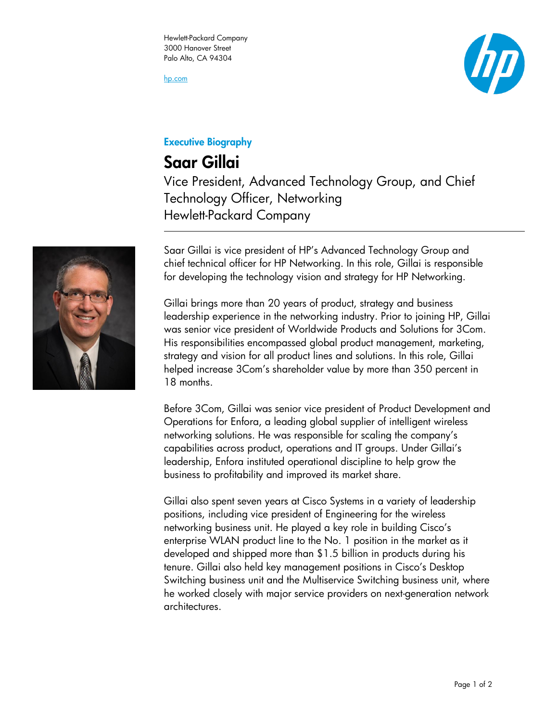hp.com



## Executive Biography

## Saar Gillai

Vice President, Advanced Technology Group, and Chief Technology Officer, Networking Hewlett-Packard Company



Saar Gillai is vice president of HP's Advanced Technology Group and chief technical officer for HP Networking. In this role, Gillai is responsible for developing the technology vision and strategy for HP Networking.

Gillai brings more than 20 years of product, strategy and business leadership experience in the networking industry. Prior to joining HP, Gillai was senior vice president of Worldwide Products and Solutions for 3Com. His responsibilities encompassed global product management, marketing, strategy and vision for all product lines and solutions. In this role, Gillai helped increase 3Com's shareholder value by more than 350 percent in 18 months.

Before 3Com, Gillai was senior vice president of Product Development and Operations for Enfora, a leading global supplier of intelligent wireless networking solutions. He was responsible for scaling the company's capabilities across product, operations and IT groups. Under Gillai's leadership, Enfora instituted operational discipline to help grow the business to profitability and improved its market share.

Gillai also spent seven years at Cisco Systems in a variety of leadership positions, including vice president of Engineering for the wireless networking business unit. He played a key role in building Cisco's enterprise WLAN product line to the No. 1 position in the market as it developed and shipped more than \$1.5 billion in products during his tenure. Gillai also held key management positions in Cisco's Desktop Switching business unit and the Multiservice Switching business unit, where he worked closely with major service providers on next-generation network architectures.